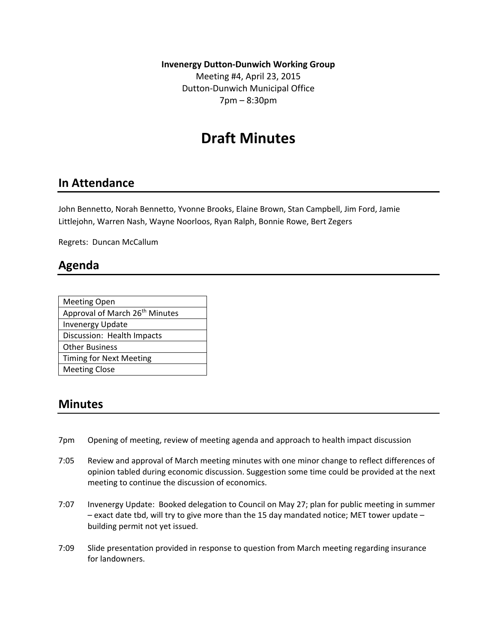**Invenergy Dutton‐Dunwich Working Group**

Meeting #4, April 23, 2015 Dutton‐Dunwich Municipal Office 7pm – 8:30pm

# **Draft Minutes**

#### **In Attendance**

John Bennetto, Norah Bennetto, Yvonne Brooks, Elaine Brown, Stan Campbell, Jim Ford, Jamie Littlejohn, Warren Nash, Wayne Noorloos, Ryan Ralph, Bonnie Rowe, Bert Zegers

Regrets: Duncan McCallum

### **Agenda**

| <b>Meeting Open</b>                        |
|--------------------------------------------|
| Approval of March 26 <sup>th</sup> Minutes |
| <b>Invenergy Update</b>                    |
| Discussion: Health Impacts                 |
| <b>Other Business</b>                      |
| <b>Timing for Next Meeting</b>             |
| <b>Meeting Close</b>                       |

#### **Minutes**

- 7pm Opening of meeting, review of meeting agenda and approach to health impact discussion
- 7:05 Review and approval of March meeting minutes with one minor change to reflect differences of opinion tabled during economic discussion. Suggestion some time could be provided at the next meeting to continue the discussion of economics.
- 7:07 Invenergy Update: Booked delegation to Council on May 27; plan for public meeting in summer – exact date tbd, will try to give more than the 15 day mandated notice; MET tower update – building permit not yet issued.
- 7:09 Slide presentation provided in response to question from March meeting regarding insurance for landowners.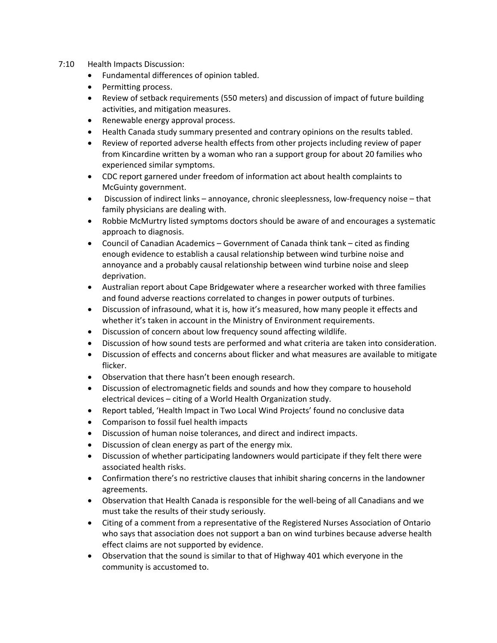- 7:10 Health Impacts Discussion:
	- Fundamental differences of opinion tabled.
	- Permitting process.
	- Review of setback requirements (550 meters) and discussion of impact of future building activities, and mitigation measures.
	- Renewable energy approval process.
	- Health Canada study summary presented and contrary opinions on the results tabled.
	- Review of reported adverse health effects from other projects including review of paper from Kincardine written by a woman who ran a support group for about 20 families who experienced similar symptoms.
	- CDC report garnered under freedom of information act about health complaints to McGuinty government.
	- Discussion of indirect links annoyance, chronic sleeplessness, low‐frequency noise that family physicians are dealing with.
	- Robbie McMurtry listed symptoms doctors should be aware of and encourages a systematic approach to diagnosis.
	- Council of Canadian Academics Government of Canada think tank cited as finding enough evidence to establish a causal relationship between wind turbine noise and annoyance and a probably causal relationship between wind turbine noise and sleep deprivation.
	- Australian report about Cape Bridgewater where a researcher worked with three families and found adverse reactions correlated to changes in power outputs of turbines.
	- Discussion of infrasound, what it is, how it's measured, how many people it effects and whether it's taken in account in the Ministry of Environment requirements.
	- Discussion of concern about low frequency sound affecting wildlife.
	- Discussion of how sound tests are performed and what criteria are taken into consideration.
	- Discussion of effects and concerns about flicker and what measures are available to mitigate flicker.
	- Observation that there hasn't been enough research.
	- Discussion of electromagnetic fields and sounds and how they compare to household electrical devices – citing of a World Health Organization study.
	- Report tabled, 'Health Impact in Two Local Wind Projects' found no conclusive data
	- Comparison to fossil fuel health impacts
	- Discussion of human noise tolerances, and direct and indirect impacts.
	- Discussion of clean energy as part of the energy mix.
	- Discussion of whether participating landowners would participate if they felt there were associated health risks.
	- Confirmation there's no restrictive clauses that inhibit sharing concerns in the landowner agreements.
	- Observation that Health Canada is responsible for the well‐being of all Canadians and we must take the results of their study seriously.
	- Citing of a comment from a representative of the Registered Nurses Association of Ontario who says that association does not support a ban on wind turbines because adverse health effect claims are not supported by evidence.
	- Observation that the sound is similar to that of Highway 401 which everyone in the community is accustomed to.